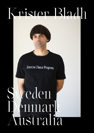# Krister Bladh

Exercise Dance Program.

# veden<br>Smna Denmark Australia